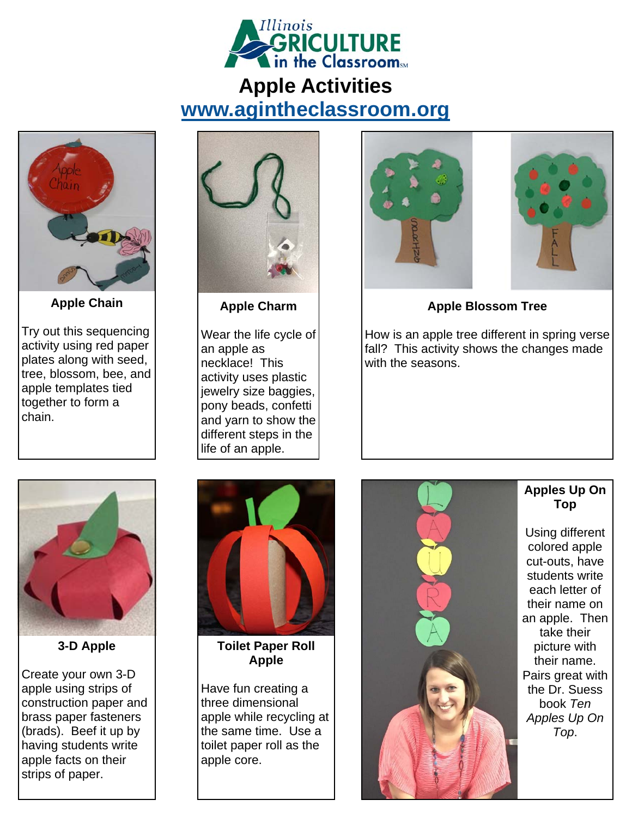

## **Apple Activities www.agintheclassroom.org**



**Apple Chain** 

Try out this sequencing activity using red paper plates along with seed, tree, blossom, bee, and apple templates tied together to form a chain.



**Apple Charm** 

Wear the life cycle of an apple as necklace! This activity uses plastic jewelry size baggies, pony beads, confetti and yarn to show the different steps in the life of an apple.





**Apple Blossom Tree** 

How is an apple tree different in spring verse fall? This activity shows the changes made with the seasons.



**3-D Apple** 

Create your own 3-D apple using strips of construction paper and brass paper fasteners (brads). Beef it up by having students write apple facts on their strips of paper.



**Toilet Paper Roll Apple** 

Have fun creating a three dimensional apple while recycling at the same time. Use a toilet paper roll as the apple core.



## **Apples Up On Top**

Using different colored apple cut-outs, have students write each letter of their name on an apple. Then take their picture with their name. Pairs great with the Dr. Suess book *Ten Apples Up On Top*.